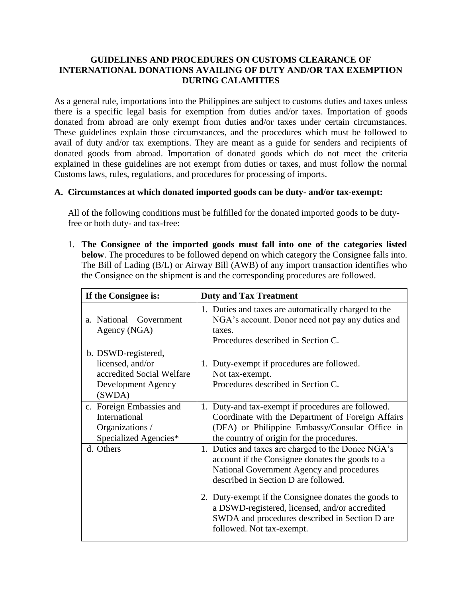#### **GUIDELINES AND PROCEDURES ON CUSTOMS CLEARANCE OF INTERNATIONAL DONATIONS AVAILING OF DUTY AND/OR TAX EXEMPTION DURING CALAMITIES**

As a general rule, importations into the Philippines are subject to customs duties and taxes unless there is a specific legal basis for exemption from duties and/or taxes. Importation of goods donated from abroad are only exempt from duties and/or taxes under certain circumstances. These guidelines explain those circumstances, and the procedures which must be followed to avail of duty and/or tax exemptions. They are meant as a guide for senders and recipients of donated goods from abroad. Importation of donated goods which do not meet the criteria explained in these guidelines are not exempt from duties or taxes, and must follow the normal Customs laws, rules, regulations, and procedures for processing of imports.

#### **A. Circumstances at which donated imported goods can be duty- and/or tax-exempt:**

All of the following conditions must be fulfilled for the donated imported goods to be dutyfree or both duty- and tax-free:

1. **The Consignee of the imported goods must fall into one of the categories listed below**. The procedures to be followed depend on which category the Consignee falls into. The Bill of Lading (B/L) or Airway Bill (AWB) of any import transaction identifies who the Consignee on the shipment is and the corresponding procedures are followed.

| If the Consignee is:                                                                                 | <b>Duty and Tax Treatment</b>                                                                                                                                                                                                                                                                                                                                                       |  |
|------------------------------------------------------------------------------------------------------|-------------------------------------------------------------------------------------------------------------------------------------------------------------------------------------------------------------------------------------------------------------------------------------------------------------------------------------------------------------------------------------|--|
| a. National Government<br>Agency (NGA)                                                               | 1. Duties and taxes are automatically charged to the<br>NGA's account. Donor need not pay any duties and<br>taxes.<br>Procedures described in Section C.                                                                                                                                                                                                                            |  |
| b. DSWD-registered,<br>licensed, and/or<br>accredited Social Welfare<br>Development Agency<br>(SWDA) | 1. Duty-exempt if procedures are followed.<br>Not tax-exempt.<br>Procedures described in Section C.                                                                                                                                                                                                                                                                                 |  |
| c. Foreign Embassies and<br>International<br>Organizations /<br>Specialized Agencies*                | 1. Duty-and tax-exempt if procedures are followed.<br>Coordinate with the Department of Foreign Affairs<br>(DFA) or Philippine Embassy/Consular Office in<br>the country of origin for the procedures.                                                                                                                                                                              |  |
| d. Others                                                                                            | 1. Duties and taxes are charged to the Donee NGA's<br>account if the Consignee donates the goods to a<br>National Government Agency and procedures<br>described in Section D are followed.<br>2. Duty-exempt if the Consignee donates the goods to<br>a DSWD-registered, licensed, and/or accredited<br>SWDA and procedures described in Section D are<br>followed. Not tax-exempt. |  |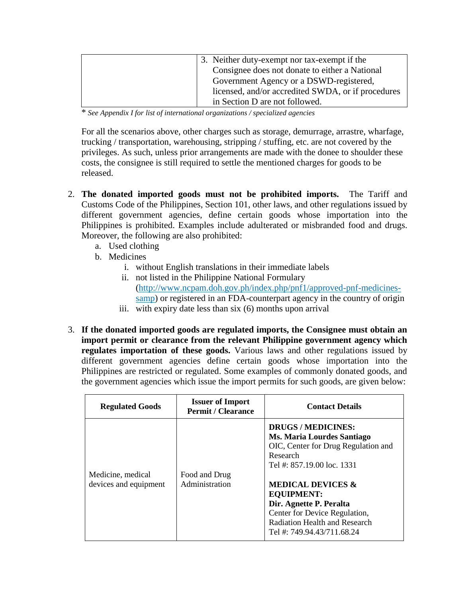| 3. Neither duty-exempt nor tax-exempt if the       |
|----------------------------------------------------|
| Consignee does not donate to either a National     |
| Government Agency or a DSWD-registered,            |
| licensed, and/or accredited SWDA, or if procedures |
| in Section D are not followed.                     |

\* *See Appendix I for list of international organizations / specialized agencies*

For all the scenarios above, other charges such as storage, demurrage, arrastre, wharfage, trucking / transportation, warehousing, stripping / stuffing, etc. are not covered by the privileges. As such, unless prior arrangements are made with the donee to shoulder these costs, the consignee is still required to settle the mentioned charges for goods to be released.

- 2. **The donated imported goods must not be prohibited imports.** The Tariff and Customs Code of the Philippines, Section 101, other laws, and other regulations issued by different government agencies, define certain goods whose importation into the Philippines is prohibited. Examples include adulterated or misbranded food and drugs. Moreover, the following are also prohibited:
	- a. Used clothing
	- b. Medicines
		- i. without English translations in their immediate labels
		- ii. not listed in the Philippine National Formulary [\(http://www.ncpam.doh.gov.ph/index.php/pnf1/approved-pnf-medicines](http://www.ncpam.doh.gov.ph/index.php/pnf1/approved-pnf-medicines-samp)[samp\)](http://www.ncpam.doh.gov.ph/index.php/pnf1/approved-pnf-medicines-samp) or registered in an FDA-counterpart agency in the country of origin
		- iii. with expiry date less than six (6) months upon arrival
- 3. **If the donated imported goods are regulated imports, the Consignee must obtain an import permit or clearance from the relevant Philippine government agency which regulates importation of these goods.** Various laws and other regulations issued by different government agencies define certain goods whose importation into the Philippines are restricted or regulated. Some examples of commonly donated goods, and the government agencies which issue the import permits for such goods, are given below:

| <b>Regulated Goods</b>                     | <b>Issuer of Import</b><br><b>Permit / Clearance</b> | <b>Contact Details</b>                                                                                                                                                                                                                                                                                                        |
|--------------------------------------------|------------------------------------------------------|-------------------------------------------------------------------------------------------------------------------------------------------------------------------------------------------------------------------------------------------------------------------------------------------------------------------------------|
| Medicine, medical<br>devices and equipment | Food and Drug<br>Administration                      | <b>DRUGS/MEDICINES:</b><br>Ms. Maria Lourdes Santiago<br>OIC, Center for Drug Regulation and<br>Research<br>Tel #: 857.19.00 loc. 1331<br><b>MEDICAL DEVICES &amp;</b><br><b>EQUIPMENT:</b><br>Dir. Agnette P. Peralta<br>Center for Device Regulation,<br><b>Radiation Health and Research</b><br>Tel #: 749.94.43/711.68.24 |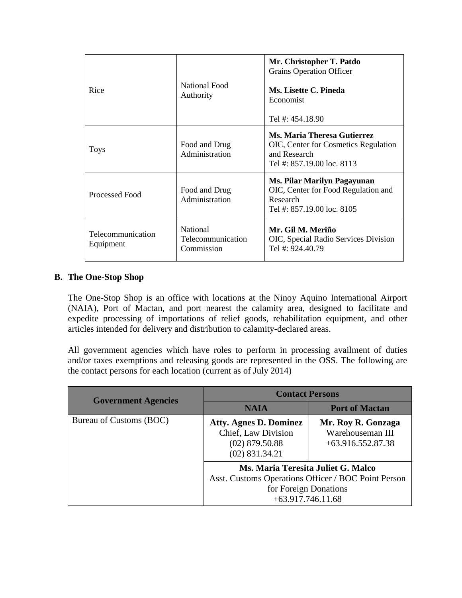| Rice                           | National Food<br>Authority                         | Mr. Christopher T. Patdo<br><b>Grains Operation Officer</b><br>Ms. Lisette C. Pineda<br>Economist<br>Tel #: 454,18.90 |
|--------------------------------|----------------------------------------------------|-----------------------------------------------------------------------------------------------------------------------|
| <b>Toys</b>                    | Food and Drug<br>Administration                    | Ms. Maria Theresa Gutierrez<br>OIC, Center for Cosmetics Regulation<br>and Research<br>Tel #: 857.19.00 loc. 8113     |
| Processed Food                 | Food and Drug<br>Administration                    | <b>Ms. Pilar Marilyn Pagayunan</b><br>OIC, Center for Food Regulation and<br>Research<br>Tel #: 857,19,00 loc. 8105   |
| Telecommunication<br>Equipment | <b>National</b><br>Telecommunication<br>Commission | Mr. Gil M. Meriño<br>OIC, Special Radio Services Division<br>Tel #: 924.40.79                                         |

# **B. The One-Stop Shop**

The One-Stop Shop is an office with locations at the Ninoy Aquino International Airport (NAIA), Port of Mactan, and port nearest the calamity area, designed to facilitate and expedite processing of importations of relief goods, rehabilitation equipment, and other articles intended for delivery and distribution to calamity-declared areas.

All government agencies which have roles to perform in processing availment of duties and/or taxes exemptions and releasing goods are represented in the OSS. The following are the contact persons for each location (current as of July 2014)

| <b>Government Agencies</b> | <b>Contact Persons</b>                                                                                                                    |                                                               |
|----------------------------|-------------------------------------------------------------------------------------------------------------------------------------------|---------------------------------------------------------------|
|                            | NAIA                                                                                                                                      | <b>Port of Mactan</b>                                         |
| Bureau of Customs (BOC)    | <b>Atty. Agnes D. Dominez</b><br>Chief, Law Division<br>$(02)$ 879.50.88<br>$(02)$ 831.34.21                                              | Mr. Roy R. Gonzaga<br>Warehouseman III<br>$+63.916.552.87.38$ |
|                            | Ms. Maria Teresita Juliet G. Malco<br>Asst. Customs Operations Officer / BOC Point Person<br>for Foreign Donations<br>$+63.917.746.11.68$ |                                                               |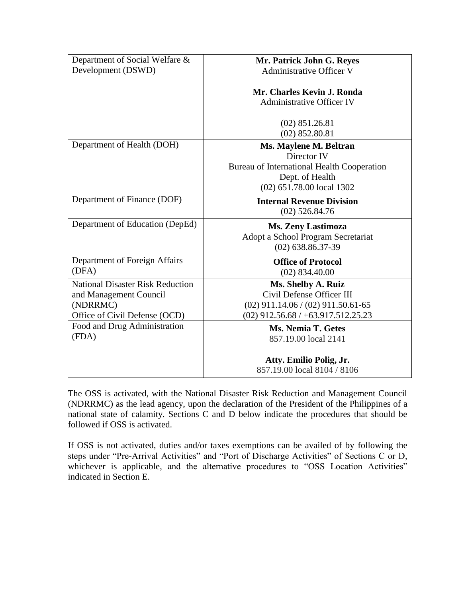| Department of Social Welfare &          | Mr. Patrick John G. Reyes                  |
|-----------------------------------------|--------------------------------------------|
| Development (DSWD)                      | Administrative Officer V                   |
|                                         | Mr. Charles Kevin J. Ronda                 |
|                                         | <b>Administrative Officer IV</b>           |
|                                         | $(02)$ 851.26.81                           |
|                                         | $(02)$ 852.80.81                           |
| Department of Health (DOH)              | Ms. Maylene M. Beltran                     |
|                                         | Director IV                                |
|                                         | Bureau of International Health Cooperation |
|                                         | Dept. of Health                            |
|                                         | (02) 651.78.00 local 1302                  |
| Department of Finance (DOF)             | <b>Internal Revenue Division</b>           |
|                                         | $(02)$ 526.84.76                           |
| Department of Education (DepEd)         | <b>Ms. Zeny Lastimoza</b>                  |
|                                         | Adopt a School Program Secretariat         |
|                                         | $(02)$ 638.86.37-39                        |
| Department of Foreign Affairs           | <b>Office of Protocol</b>                  |
| (DFA)                                   | $(02)$ 834.40.00                           |
| <b>National Disaster Risk Reduction</b> | Ms. Shelby A. Ruiz                         |
| and Management Council                  | Civil Defense Officer III                  |
| (NDRRMC)                                | $(02)$ 911.14.06 / (02) 911.50.61-65       |
| Office of Civil Defense (OCD)           | $(02)$ 912.56.68 / +63.917.512.25.23       |
| Food and Drug Administration            | <b>Ms. Nemia T. Getes</b>                  |
| (FDA)                                   | 857.19.00 local 2141                       |
|                                         | Atty. Emilio Polig, Jr.                    |
|                                         | 857.19.00 local 8104 / 8106                |
|                                         |                                            |

The OSS is activated, with the National Disaster Risk Reduction and Management Council (NDRRMC) as the lead agency, upon the declaration of the President of the Philippines of a national state of calamity. Sections C and D below indicate the procedures that should be followed if OSS is activated.

If OSS is not activated, duties and/or taxes exemptions can be availed of by following the steps under "Pre-Arrival Activities" and "Port of Discharge Activities" of Sections C or D, whichever is applicable, and the alternative procedures to "OSS Location Activities" indicated in Section E.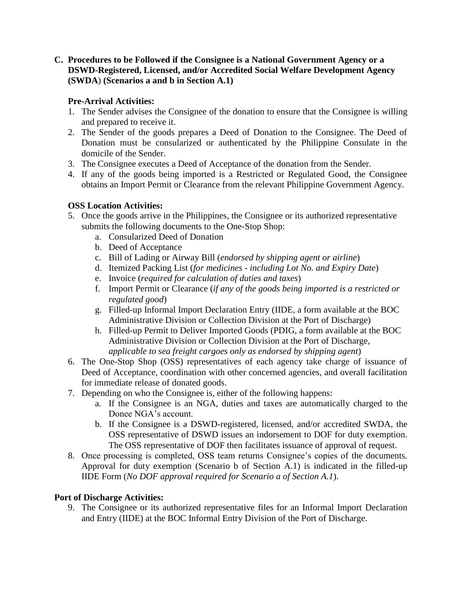**C. Procedures to be Followed if the Consignee is a National Government Agency or a DSWD-Registered, Licensed, and/or Accredited Social Welfare Development Agency (SWDA**) **(Scenarios a and b in Section A.1)** 

# **Pre-Arrival Activities:**

- 1. The Sender advises the Consignee of the donation to ensure that the Consignee is willing and prepared to receive it.
- 2. The Sender of the goods prepares a Deed of Donation to the Consignee. The Deed of Donation must be consularized or authenticated by the Philippine Consulate in the domicile of the Sender.
- 3. The Consignee executes a Deed of Acceptance of the donation from the Sender.
- 4. If any of the goods being imported is a Restricted or Regulated Good, the Consignee obtains an Import Permit or Clearance from the relevant Philippine Government Agency.

# **OSS Location Activities:**

- 5. Once the goods arrive in the Philippines, the Consignee or its authorized representative submits the following documents to the One-Stop Shop:
	- a. Consularized Deed of Donation
	- b. Deed of Acceptance
	- c. Bill of Lading or Airway Bill (*endorsed by shipping agent or airline*)
	- d. Itemized Packing List (*for medicines - including Lot No. and Expiry Date*)
	- e. Invoice (*required for calculation of duties and taxes*)
	- f. Import Permit or Clearance (*if any of the goods being imported is a restricted or regulated good*)
	- g. Filled-up Informal Import Declaration Entry (IIDE, a form available at the BOC Administrative Division or Collection Division at the Port of Discharge)
	- h. Filled-up Permit to Deliver Imported Goods (PDIG, a form available at the BOC Administrative Division or Collection Division at the Port of Discharge, *applicable to sea freight cargoes only as endorsed by shipping agent*)
- 6. The One-Stop Shop (OSS) representatives of each agency take charge of issuance of Deed of Acceptance, coordination with other concerned agencies, and overall facilitation for immediate release of donated goods.
- 7. Depending on who the Consignee is, either of the following happens:
	- a. If the Consignee is an NGA, duties and taxes are automatically charged to the Donee NGA's account.
	- b. If the Consignee is a DSWD-registered, licensed, and/or accredited SWDA, the OSS representative of DSWD issues an indorsement to DOF for duty exemption. The OSS representative of DOF then facilitates issuance of approval of request.
- 8. Once processing is completed, OSS team returns Consignee's copies of the documents. Approval for duty exemption (Scenario b of Section A.1) is indicated in the filled-up IIDE Form (*No DOF approval required for Scenario a of Section A.1*).

# **Port of Discharge Activities:**

9. The Consignee or its authorized representative files for an Informal Import Declaration and Entry (IIDE) at the BOC Informal Entry Division of the Port of Discharge.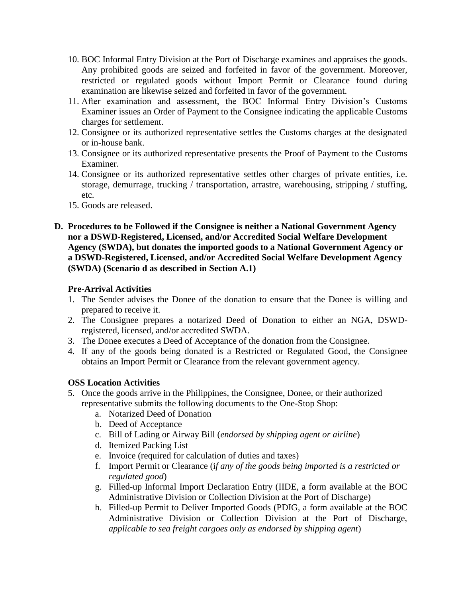- 10. BOC Informal Entry Division at the Port of Discharge examines and appraises the goods. Any prohibited goods are seized and forfeited in favor of the government. Moreover, restricted or regulated goods without Import Permit or Clearance found during examination are likewise seized and forfeited in favor of the government.
- 11. After examination and assessment, the BOC Informal Entry Division's Customs Examiner issues an Order of Payment to the Consignee indicating the applicable Customs charges for settlement.
- 12. Consignee or its authorized representative settles the Customs charges at the designated or in-house bank.
- 13. Consignee or its authorized representative presents the Proof of Payment to the Customs Examiner.
- 14. Consignee or its authorized representative settles other charges of private entities, i.e. storage, demurrage, trucking / transportation, arrastre, warehousing, stripping / stuffing, etc.
- 15. Goods are released.
- **D. Procedures to be Followed if the Consignee is neither a National Government Agency nor a DSWD-Registered, Licensed, and/or Accredited Social Welfare Development Agency (SWDA), but donates the imported goods to a National Government Agency or a DSWD-Registered, Licensed, and/or Accredited Social Welfare Development Agency (SWDA) (Scenario d as described in Section A.1)**

#### **Pre-Arrival Activities**

- 1. The Sender advises the Donee of the donation to ensure that the Donee is willing and prepared to receive it.
- 2. The Consignee prepares a notarized Deed of Donation to either an NGA, DSWDregistered, licensed, and/or accredited SWDA.
- 3. The Donee executes a Deed of Acceptance of the donation from the Consignee.
- 4. If any of the goods being donated is a Restricted or Regulated Good, the Consignee obtains an Import Permit or Clearance from the relevant government agency.

# **OSS Location Activities**

- 5. Once the goods arrive in the Philippines, the Consignee, Donee, or their authorized representative submits the following documents to the One-Stop Shop:
	- a. Notarized Deed of Donation
	- b. Deed of Acceptance
	- c. Bill of Lading or Airway Bill (*endorsed by shipping agent or airline*)
	- d. Itemized Packing List
	- e. Invoice (required for calculation of duties and taxes)
	- f. Import Permit or Clearance (i*f any of the goods being imported is a restricted or regulated good*)
	- g. Filled-up Informal Import Declaration Entry (IIDE, a form available at the BOC Administrative Division or Collection Division at the Port of Discharge)
	- h. Filled-up Permit to Deliver Imported Goods (PDIG, a form available at the BOC Administrative Division or Collection Division at the Port of Discharge, *applicable to sea freight cargoes only as endorsed by shipping agent*)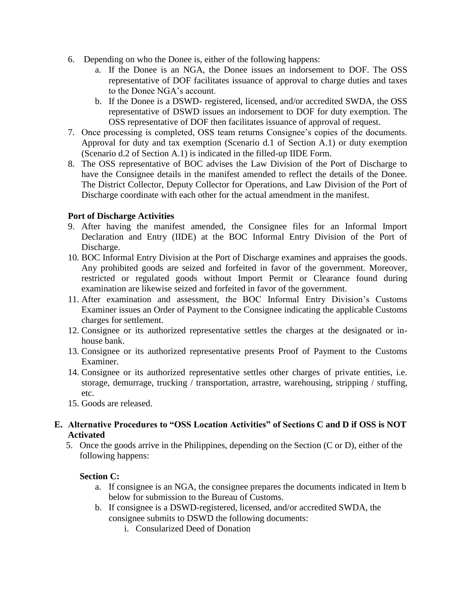- 6. Depending on who the Donee is, either of the following happens:
	- a. If the Donee is an NGA, the Donee issues an indorsement to DOF. The OSS representative of DOF facilitates issuance of approval to charge duties and taxes to the Donee NGA's account.
	- b. If the Donee is a DSWD- registered, licensed, and/or accredited SWDA, the OSS representative of DSWD issues an indorsement to DOF for duty exemption. The OSS representative of DOF then facilitates issuance of approval of request.
- 7. Once processing is completed, OSS team returns Consignee's copies of the documents. Approval for duty and tax exemption (Scenario d.1 of Section A.1) or duty exemption (Scenario d.2 of Section A.1) is indicated in the filled-up IIDE Form.
- 8. The OSS representative of BOC advises the Law Division of the Port of Discharge to have the Consignee details in the manifest amended to reflect the details of the Donee. The District Collector, Deputy Collector for Operations, and Law Division of the Port of Discharge coordinate with each other for the actual amendment in the manifest.

# **Port of Discharge Activities**

- 9. After having the manifest amended, the Consignee files for an Informal Import Declaration and Entry (IIDE) at the BOC Informal Entry Division of the Port of Discharge.
- 10. BOC Informal Entry Division at the Port of Discharge examines and appraises the goods. Any prohibited goods are seized and forfeited in favor of the government. Moreover, restricted or regulated goods without Import Permit or Clearance found during examination are likewise seized and forfeited in favor of the government.
- 11. After examination and assessment, the BOC Informal Entry Division's Customs Examiner issues an Order of Payment to the Consignee indicating the applicable Customs charges for settlement.
- 12. Consignee or its authorized representative settles the charges at the designated or inhouse bank.
- 13. Consignee or its authorized representative presents Proof of Payment to the Customs Examiner.
- 14. Consignee or its authorized representative settles other charges of private entities, i.e. storage, demurrage, trucking / transportation, arrastre, warehousing, stripping / stuffing, etc.
- 15. Goods are released.
- **E. Alternative Procedures to "OSS Location Activities" of Sections C and D if OSS is NOT Activated**
	- 5. Once the goods arrive in the Philippines, depending on the Section (C or D), either of the following happens:

#### **Section C:**

- a. If consignee is an NGA, the consignee prepares the documents indicated in Item b below for submission to the Bureau of Customs.
- b. If consignee is a DSWD-registered, licensed, and/or accredited SWDA, the consignee submits to DSWD the following documents:
	- i. Consularized Deed of Donation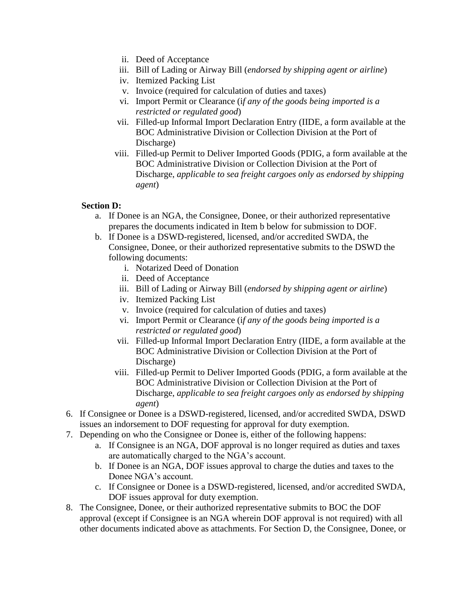- ii. Deed of Acceptance
- iii. Bill of Lading or Airway Bill (*endorsed by shipping agent or airline*)
- iv. Itemized Packing List
- v. Invoice (required for calculation of duties and taxes)
- vi. Import Permit or Clearance (i*f any of the goods being imported is a restricted or regulated good*)
- vii. Filled-up Informal Import Declaration Entry (IIDE, a form available at the BOC Administrative Division or Collection Division at the Port of Discharge)
- viii. Filled-up Permit to Deliver Imported Goods (PDIG, a form available at the BOC Administrative Division or Collection Division at the Port of Discharge, *applicable to sea freight cargoes only as endorsed by shipping agent*)

#### **Section D:**

- a. If Donee is an NGA, the Consignee, Donee, or their authorized representative prepares the documents indicated in Item b below for submission to DOF.
- b. If Donee is a DSWD-registered, licensed, and/or accredited SWDA, the Consignee, Donee, or their authorized representative submits to the DSWD the following documents:
	- i. Notarized Deed of Donation
	- ii. Deed of Acceptance
	- iii. Bill of Lading or Airway Bill (*endorsed by shipping agent or airline*)
	- iv. Itemized Packing List
	- v. Invoice (required for calculation of duties and taxes)
	- vi. Import Permit or Clearance (i*f any of the goods being imported is a restricted or regulated good*)
	- vii. Filled-up Informal Import Declaration Entry (IIDE, a form available at the BOC Administrative Division or Collection Division at the Port of Discharge)
	- viii. Filled-up Permit to Deliver Imported Goods (PDIG, a form available at the BOC Administrative Division or Collection Division at the Port of Discharge, *applicable to sea freight cargoes only as endorsed by shipping agent*)
- 6. If Consignee or Donee is a DSWD-registered, licensed, and/or accredited SWDA, DSWD issues an indorsement to DOF requesting for approval for duty exemption.
- 7. Depending on who the Consignee or Donee is, either of the following happens:
	- a. If Consignee is an NGA, DOF approval is no longer required as duties and taxes are automatically charged to the NGA's account.
	- b. If Donee is an NGA, DOF issues approval to charge the duties and taxes to the Donee NGA's account.
	- c. If Consignee or Donee is a DSWD-registered, licensed, and/or accredited SWDA, DOF issues approval for duty exemption.
- 8. The Consignee, Donee, or their authorized representative submits to BOC the DOF approval (except if Consignee is an NGA wherein DOF approval is not required) with all other documents indicated above as attachments. For Section D, the Consignee, Donee, or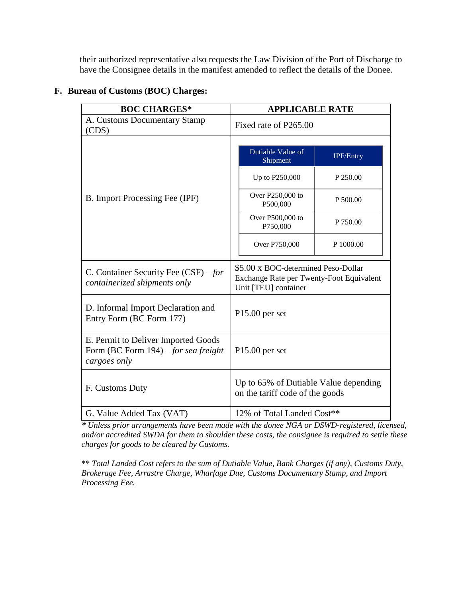their authorized representative also requests the Law Division of the Port of Discharge to have the Consignee details in the manifest amended to reflect the details of the Donee.

| <b>BOC CHARGES*</b>                                                                            | <b>APPLICABLE RATE</b>                                                                                  |  |
|------------------------------------------------------------------------------------------------|---------------------------------------------------------------------------------------------------------|--|
| A. Customs Documentary Stamp<br>(CDS)                                                          | Fixed rate of P265.00                                                                                   |  |
|                                                                                                | Dutiable Value of<br><b>IPF/Entry</b><br>Shipment                                                       |  |
|                                                                                                | Up to P250,000<br>P 250.00                                                                              |  |
| B. Import Processing Fee (IPF)                                                                 | Over P250,000 to<br>P 500.00<br>P500,000                                                                |  |
|                                                                                                | Over P500,000 to<br>P 750.00<br>P750,000                                                                |  |
|                                                                                                | P 1000.00<br>Over P750,000                                                                              |  |
| C. Container Security Fee $(CSF)$ – for<br>containerized shipments only                        | \$5.00 x BOC-determined Peso-Dollar<br>Exchange Rate per Twenty-Foot Equivalent<br>Unit [TEU] container |  |
| D. Informal Import Declaration and<br>Entry Form (BC Form 177)                                 | $P15.00$ per set                                                                                        |  |
| E. Permit to Deliver Imported Goods<br>Form (BC Form $194$ ) – for sea freight<br>cargoes only | $P15.00$ per set                                                                                        |  |
| F. Customs Duty                                                                                | Up to 65% of Dutiable Value depending<br>on the tariff code of the goods                                |  |
| G. Value Added Tax (VAT)                                                                       | 12% of Total Landed Cost**                                                                              |  |

# **F. Bureau of Customs (BOC) Charges:**

*\* Unless prior arrangements have been made with the donee NGA or DSWD-registered, licensed, and/or accredited SWDA for them to shoulder these costs, the consignee is required to settle these charges for goods to be cleared by Customs.* 

\*\* *Total Landed Cost refers to the sum of Dutiable Value, Bank Charges (if any), Customs Duty, Brokerage Fee, Arrastre Charge, Wharfage Due, Customs Documentary Stamp, and Import Processing Fee.*